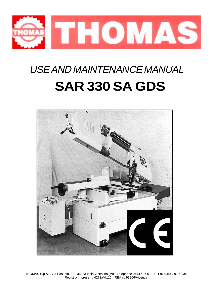

# USE AND MAINTENANCE MANUAL  **SAR 330 SA GDS**



THOMAS S.p.A. - Via Pasubio, 32 - 36033 Isola Vicentina (VI) - Telephone 0444 / 97.61.05 - Fax 0444 / 97.69.34 Registro Imprese n. 4272//VI116 REA n. 93906/Vicenza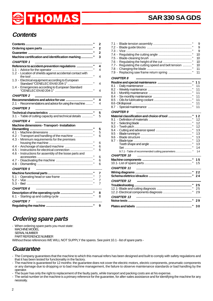## **HOMAS**

### **Contents**

|                                                                                                | 2                   |
|------------------------------------------------------------------------------------------------|---------------------|
|                                                                                                | $\mathbf{2}$        |
|                                                                                                | $\overline{2}$      |
| Machine certification and identification marking"                                              | 3                   |
| <b>CHAPTER 1</b>                                                                               |                     |
| Reference to accident-prevention regulations "                                                 | 4                   |
|                                                                                                | 4                   |
| 1.2 - Location of shields against accidental contact with                                      | 4                   |
| 1.3 - Electrical equipment according to European                                               |                     |
|                                                                                                | 4                   |
| 1.4 - Emergencies according to European Standard                                               |                     |
|                                                                                                | 4                   |
| <b>CHAPTER 2</b>                                                                               |                     |
|                                                                                                | 4                   |
| 2.1 - Recommendations and advice for using the machine "                                       | 4                   |
| <b>CHAPTER 3</b>                                                                               |                     |
|                                                                                                | 5                   |
| 3.1 - Table of cutting capacity and technical details "                                        | 5                   |
| <b>CHAPTER 4</b>                                                                               |                     |
| Machine dimensions - Transport - Installation                                                  |                     |
|                                                                                                | 5                   |
|                                                                                                | 5                   |
| 4.2 - Transport and handling of the machine<br>4.3 - Minimum requirements for the premises     | 6                   |
|                                                                                                | 6                   |
|                                                                                                | 6                   |
| 4.5 - Instructions for electrical connection                                                   | 6                   |
| 4.6 - Instructions for assembly of the loose parts and                                         |                     |
|                                                                                                | 6                   |
|                                                                                                | 6                   |
|                                                                                                | 6                   |
| <b>CHAPTER 5</b><br>the control of the control of the control of the control of the control of |                     |
|                                                                                                | 7                   |
|                                                                                                | 7                   |
|                                                                                                | $\overline{7}$<br>7 |
|                                                                                                |                     |
| <b>CHAPTER 6</b>                                                                               |                     |
|                                                                                                | 8                   |
|                                                                                                | 8                   |
| <b>CHAPTER 7</b>                                                                               |                     |
|                                                                                                | 9                   |

| 7.7 - Regulating the cutting speed and belt tension "<br>7.9 - Replacing saw frame return spring                                           | 9<br>9<br>9<br>10<br>10<br>10<br>10<br>11<br>11                |
|--------------------------------------------------------------------------------------------------------------------------------------------|----------------------------------------------------------------|
| <b>CHAPTER 8</b>                                                                                                                           |                                                                |
|                                                                                                                                            | 11<br>11<br>11<br>11<br>11<br>11<br>11<br>11                   |
| <b>CHAPTER 9</b>                                                                                                                           |                                                                |
| 9.7.1 - Table of recommended cutting parameters<br><b>CHAPTER 10</b>                                                                       | 12<br>12<br>12<br>12<br>13<br>13<br>13<br>13<br>13<br>14<br>14 |
|                                                                                                                                            |                                                                |
| <b>CHAPTER 11</b><br><u> Alexandria de la contrada de la contrada de la contrada de la contrada de la contrada de la contrada de la c</u>  | 15<br>15                                                       |
|                                                                                                                                            |                                                                |
| <b>CHAPTER 12</b><br><u> 1989 - Johann Stoff, deutscher Stoff, der Stoff, der Stoff, der Stoff, der Stoff, der Stoff, der Stoff, der S</u> |                                                                |
| <u> 1980 - Antonio Alemania, politikar politikar (</u><br><b>CHAPTER 13</b>                                                                | 25                                                             |
|                                                                                                                                            | 29                                                             |
|                                                                                                                                            | 30                                                             |

### **Ordering spare parts**

- When ordering spare parts you must state: MACHINE MODEL SERIAL NUMBER PART REFERENCE NUMBER Without these references WE WILL NOT SUPPLY the spares. See point 10.1 - list of spare parts -

### **Guarantee**

- The Company guarantees that the machine to which this manual refers has been designed and built to comply with safety regulations and that it has been tested for functionality in the factory.
- The machine is guaranteed for 12 months: the guarantee does not cover the electric motors, electric components, pneumatic components or any damage due to dropping or to bad machine management, the failure to observe maintenance standards or bad handling by the operator.
- The buyer has only the right to replacement of the faulty parts, while transport and packing costs are at his expense.
- The serial number on the machine is a primary reference for the guarantee, for after-sales assistance and for identifying the machine for any necessity.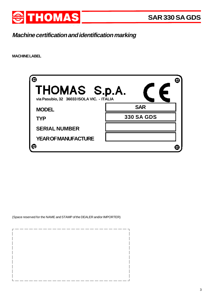

## **Machine certification and identification marking**

**MACHINE LABEL**

| THOMAS S.p.A.<br>via Pasubio, 32 36033 ISOLA VIC. - ITALIA |                   |
|------------------------------------------------------------|-------------------|
| <b>MODEL</b>                                               | <b>SAR</b>        |
| <b>TYP</b>                                                 | <b>330 SA GDS</b> |
| <b>SERIAL NUMBER</b>                                       |                   |
| <b>YEAR OF MANUFACTURE</b>                                 |                   |
|                                                            |                   |

(Space reserved for the NAME and STAMP of the DEALER and/or IMPORTER)

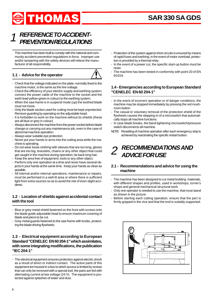

### 1 **REFERENCE TO ACCIDENT-PREVENTION REGULATIONS**

This machine has been built to comply with the national and community accident-prevention regulations in force. Improper use and/or tampering with the safety devices will relieve the manufacturer of all responsibility.

#### **1.1 - Advice for the operator**



- Check that the voltage indicated on the plate, normally fixed to the machine motor, is the same as the line voltage.
- Check the efficiency of your electric supply and earthing system; connect the power cable of the machine to the socket and the earth lead yellow-green in colour) to the earthing system.
- When the saw frame is in suspend mode (up) the toothed blade must not move.
- Only the blade section used for cutting must be kept unprotected. Remove guarding by operating on the adjustable head.
- It is forbidden to work on the machine without its shields (these are all blue or grey in colour).
- Always disconnect the machine from the power socket before blade change or carrying out any maintenance job, even in the case of abnormal machine operation.
- Always wear suitable eye protection.
- Never put your hands or arms into the cutting area while the machine is operating.
- Do not wear loose clothing with sleeves that are too long, gloves that are too big, bracelets, chains or any other object that could get caught in the machine during operation; tie back long hair.
- Keep the area free of equipment, tools or any other object.
- Perform only one operation at a time and never have several objects in your hands at the same time. Keep your hands as clean as possible.
- All internal and/or internal operations, maintenance or repairs, must be performed in a well-lit area or where there is sufficient light from extra sources so as to avoid the risk of even slight accidents.

#### **1.2 - Location of shields against accidental contact with the tool**

- Blue or grey metal shield fastened on the front with screws onto the blade guide adjustable head to ensure maximum covering of blade and piece to be cut.
- Grey metal guards fastened to the saw frame with knobs, protecting the blade driving flywheels.

#### **1.3 - Electrical equipment according to European Standard "CENELEC EN 60 204-1" which assimilates, with some integrating modifications, the publication "IEC 204-1"**

- The electrical equipment ensures protection against electric shock as a result of direct or indirect contact. The active parts of this equipment are housed in a box to which access is limited by screws that can only be removed with a special tool; the parts are fed with alternating current at low voltage (24 V). The equipment is protected against splashes of water and dust.

- Protection of the system against short circuits is ensured by means of rapid fuses and earthing; in the event of motor overload, protection is provided by a thermal relay.
- In the event of a power cut, the specific start-up button must be reset.
- The machine has been tested in conformity with point 20 of EN 60204.

#### **1.4 - Emergencies according to European Standard "CENELEC EN 60 204-1"**

- In the event of incorrect operation or of danger conditions, the machine may be stopped immediately by pressing the red mushroom button.
- The casual or voluntary removal of the protection shield of the flywheels causes the stepping-in of a microswitch that automatically stops all machine functions.
- In case blade breaks, the band tightening microswitch/pressure switch disconnects all machine.
- NOTE: Resetting of machine operation after each emergency stop is achieved by reactivating the specific restart button.

#### **RECOMMENDATIONS AND ADVICE FOR USE** 2

#### **2.1 - Recommendations and advice for using the machine**

- The machine has been designed to cut metal building materials, with different shapes and profiles, used in workshops, turner's shops and general mechanical structural work.
- Only one operator is needed to use the machine, that must stand as shown in the picture.
- Before starting each cutting operation, ensure that the part is firmly gripped in the vice and that the end is suitably supported.

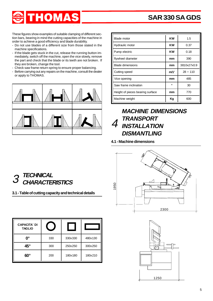

These figures show examples of suitable clamping of different section bars, bearing in mind the cutting capacities of the machine in order to achieve a good efficiency and blade durability.

- Do not use blades of a different size from those stated in the machine specifications.
- If the blade gets stuck in the cut, release the running button immediately, switch off the machine, open the vice slowly, remove the part and check that the blade or its teeth are not broken. If they are broken, change the tool.
- Check saw frame return spring to ensure proper balancing.
- Before carrying out any repairs on the machine, consult the dealer or apply to THOMAS.



| Blade motor                      | <b>KW</b> | 1.5           |
|----------------------------------|-----------|---------------|
| Hydraulic motor                  | <b>KW</b> | 0.37          |
| Pump electric                    | KW        | 0.18          |
| flywheel diameter                | mm        | 390           |
| <b>Blade dimensions</b>          | mm        | 3810x27x0.9   |
| Cutting speed                    | m/1'      | $28 \div 110$ |
| Vice opening                     | mm        | 485           |
| Saw frame inclination            | $\circ$   | 30            |
| Height of pieces bearing surface | mm        | 770           |
| Machine weight                   | Kg        | 600           |

#### **MACHINE DIMENSIONS TRANSPORT INSTALLATION DISMANTLING**  $\boldsymbol{\varDelta}$

**4.1 - Machine dimensions**





#### **TECHNICAL CHARACTERISTICS** 3

**3.1 - Table of cutting capacity and technical details**

| <b>CAPACITA DI</b><br><b>TAGLIO</b> |     |         |         |
|-------------------------------------|-----|---------|---------|
| ∩∘                                  | 330 | 330x330 | 480x130 |
| 45°                                 | 300 | 250x250 | 300x250 |
| $60^\circ$                          | 200 | 180x180 | 180x210 |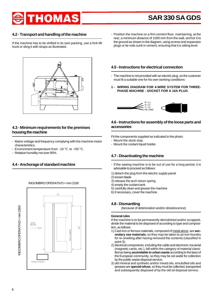

#### **4.2 - Transport and handling of the machine**

If the machine has to be shifted in its own packing, use a fork-lift truck or sling it with straps as illustrated.



#### **4.3 - Minimum requirements for the premises housing the machine**

- Mains voltage and frequency complying with the machine motor characteristics.
- Environment temperature from -10 °C to +50 °C.
- Relative humidity not over 90%.

#### **4.4 - Anchorage of standard machine**



INGOMBRO OPERATIVO = mm 2100

- Position the machine on a firm cement floor, maintaining, at the rear, a minimum distance of 1000 mm from the wall; anchor it to the ground as shown in the diagram, using screws and expansion plugs or tie rods sunk in cement, ensuring that it is sitting level.

#### **4.5 - Instructions for electrical connection**

- The machine is not provided with an electric plug, so the customer must fit a suitable one for his own working conditions:
- **1 WIRING DIAGRAM FOR 4-WIRE SYSTEM FOR THREE-PHASE MACHINE - SOCKET FOR A 16A PLUG**



#### **4.6 - Instructions for assembly of the loose parts and accessories**

Fit the components supplied as indicated in the photo:

- Mount the stock stop.
- Mount the coolant liquid holder.

#### **4.7 - Disactivating the machine**

- If the sawing machine is to be out of use for a long period, it is advisable to proceed as follows:
- 1) detach the plug from the electric supply panel
- 2) loosen blade
- 3) release the arch return spring
- 4) empty the coolant tank
- 5) carefully clean and grease the machine
- 6) if necessary, cover the machine.

#### **4.8 - Dismantling**

(because of deterioration and/or obsolescence)

#### **General rules**

If the machine is to be permanently demolished and/or scrapped, divide the material to be disposed of according to type and composition, as follows:

- 1) Cast iron or ferrous materials, composed of metal alone, are **secondary raw materials**, so they may be taken to an iron foundry for re-smelting after having removed the contents (classified in point 3);
- 2) electrical components, including the cable and electronic ma-terial (magnetic cards, etc.), fall within the category of material classified as being **assimilable to urban waste** according to the laws of the European community, so they may be set aside for collection by the public waste disposal service;
- 3) old mineral and synthetic and/or mixed oils, emulsified oils and greases are **special refuse**, so they must be collected, transported and subsequently disposed of by the old oil disposal service.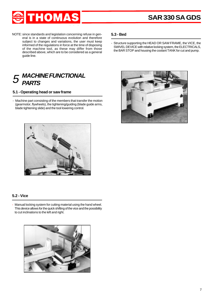

NOTE: since standards and legislation concerning refuse in general is in a state of continuous evolution and therefore subject to changes and variations, the user must keep informed of the regulations in force at the time of disposing of the machine tool, as these may differ from those described above, which are to be considered as a general guide line.

## **MACHINE FUNCTIONAL**<br>PARTS

#### **5.1 - Operating head or saw frame**

- Machine part consisting of the members that transfer the motion (gearmotor, flywheels), the tightening/guiding (blade guide arms, blade tightening slide) and the tool lowering control.



#### **5.2 - Vice**

- Manual locking system for cutting material using the hand wheel. This device allows for the quick shifting of the vice and the possibility to cut inclinations to the left and right.



#### **5.3 - Bed**

Structure supporting the HEAD OR SAW FRAME, the VICE, the SWIVEL DEVICE with relative locking system, the ELECTRICALS, the BAR STOP and housing the coolant TANK for cut and pump.

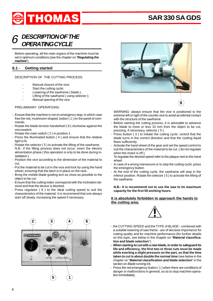## THOMAS

#### **DESCRIPTION OF THE OPERATING CYCLE** 6

Before operating, all the main organs of the machine must be set in optimum conditions (see the chapter on "**Regulating the machine**").

#### **6.1 - Getting started**

DESCRIPTION OF THE CUTTING PROCESS:

- Manual closure of the vice:
- Start the cutting cycle;
- Lowering of the sawframe (blade);
- Lifting of the sawframe ( using selector );
- Manual opening of the vice.

#### PRELIMINARY OPERATIONS:

- Ensure that the machine is not on emergency stop; in which case free the red, mushroom shaped, button ( 1 ) on the panel of commands.
- Rotate the blade tension handwheel ( 8 ) clockwise against the microswitch.
- Rotate the main switch ( 2 ) in position 1.
- Press the illuminated button ( 4 ) and ensure that the relative light is lit.
- Rotate the selector ( 5 ) to activate the lifting of the sawframe. N.B.: if the lifting process does not occur, invert the electric alimentation phase ( this operation is only to be done during installation ).
- Position the vice according to the dimension of the material to cut.
- Put the material to be cut in the vice and lock by using the hand wheel, ensuring that the latch is in place on the rack.
- Bring the mobile blade guiding arm as close as possible to the object to be cut.
- Ensure that the cutting index correspond with the inclination desired and that the device is blocked.
- Press regulator ( 6 ) to the ideal cutting speed to suit the characteristics of the material. It is recommend that one always start off slowly, increasing the speed if necessary



WARNING: always ensure that the vice is positioned to the extreme left or right of the counter vice to avoid accidental contact with the structure of the sawframe.

- Before starting the cutting process, it is advisable to advance the blade to more or less 10 mm from the object to be cut, pressing, if necessary, selector ( 5 ).
- Press button ( 3 ) to initiate the cutting cycle: control that the blade turns in the correct direction and that the cooling liquid flows sufficiently.
- Activate the hand wheel of the gear and set the speed control to suit the characteristics of the material to be cut. ( do not regulate when the motor is off ).

To regulate the desired speed refer to the plaque next to the hand wheel

- In case of a wrong manoeuvre or to stop the cutting cycle, press the emergency button.
- At the end of the cutting cycle, the sawframe will stop in the inferior position. Rotate the selector ( 5 ) to activate the lifting of the sawframe.

**N.B.: It is recommend not to use the saw to its maximum capacity for the first 50 working hours.**

#### **It is absolutely forbidden to approach the hands to the cutting area.**



- the CUTTING SPEED and the TYPE of BLADE combined with a suitable lowering of saw frame - are of decisive importance for cutting quality and for machine performance (for further details on this topic, see below in the chapter on "**Material classification and blade selection**").
- **When starting to cut with a new blade, in order to safeguard its life and efficiency, the first two or three cuts must be made while exerting a slight pressure on the part, so that the time taken to cut is about double the normal time** (see below in the chapter on "**Material classification and blade selection**" in the section on Blade running-in).
- Press the red emergency button (1) when there are conditions of danger or malfunctions in general, so as to stop machine operation immediately.

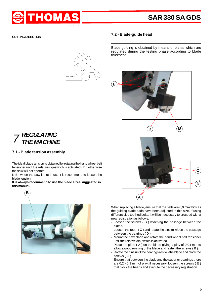

#### **CUTTING DIRECTION**



#### **7.2 - Blade-guide head**

Blade guiding is obtained by means of plates which are regulated during the testing phase according to blade thickness.





#### **7.1 - Blade tension assembly**

The ideal blade tension is obtained by rotating the hand wheel belt tensioner until the relative dip-switch is activated ( B ) otherwise the saw will not operate.

N.B.: when the saw is not in use it is recommend to loosen the blade tension.

#### **It is always recommend to use the blade sizes suggested in this manual.**





When replacing a blade, ensure that the belts are 0,9 mm thick as the guiding blade pads have been adjusted to this size. If using different size toothed belts, it will be necessary to proceed with a new registration as follows:

- Loosen the screws ( B ) widening the passage between the plates.
- Loosen the teeth ( C ) and rotate the pins to widen the passage between the bearings ( D ).
- Mount the new blade and rotate the hand wheel belt tensioner until the relative dip-switch is activated.
- Place the plate ( A ) on the blade giving a play of 0,04 mm to allow a good running of the blade and fasten the screws ( B ).
- Rotate the pins until the bearings rest on the blade and block the screws  $( C )$ .
- Ensure that between the blade and the superior bearings there are 0,2 - 0,3 mm of play; if necessary, loosen the screws ( E ) that block the heads and execute the necessary registration.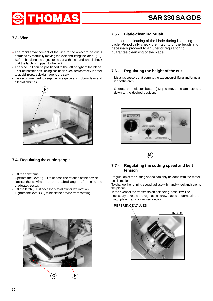

#### **7.3 - Vice**

- --The rapid advancement of the vice to the object to be cut is obtained by manually moving the vice and lifting the latch ( F ). Before blocking the object to be cut with the hand wheel check that the latch is gripped to the rack.
- The vice unit can be positioned to the left or right of the blade. Ensure that this positioning has been executed correctly in order to avoid irreparable damage to the saw.
- It is recommended to keep the vice guide and ribbon clean and oiled at all times.



#### **7.4 - Regulating the cutting angle**

- Lift the sawframe.
- Operate the Lever ( G ) to release the rotation of the device.
- Rotate the sawframe to the desired angle referring to the graduated sector.
- Lift the latch ( H ) if necessary to allow for left rotation.
- Tighten the lever ( G ) to block the device from rotating.

#### **7.5 - Blade-cleaning brush**

Ideal for the cleaning of the blade during its cutting cycle. Periodically check the integrity of the brush and if necessary proceed to an ulterior regulation to guarantee cleansing of the blade.

#### **7.6 - Regulating the height of the cut**

It is an accessory that permits the execution of lifting and/or nearing of the arch.

- Operate the selector button ( M ) to move the arch up and down to the desired position.



#### **7.7 - Regulating the cutting speed and belt tension**

Regulation of the cutting speed can only be done with the motorbelt in motion.

To change the running speed, adjust with hand wheel and refer to the plaque.

In the event of the transmission belt being loose, it will be necessary to rotate the regulating screw placed underneath the motor plate in anticlockwise direction.

#### REFERENCE VALUES



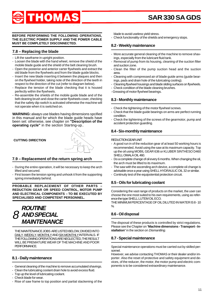

**BEFORE PERFORMING THE FOLLOWING OPERATIONS, THE ELECTRIC POWER SUPPLY AND THE POWER CABLE MUST BE COMPLETELY DISCONNECTED.**

#### **7.8 – Replacing the blade**

- Lift the sawframe in upright position.
- Loosen the blade with the hand wheel, remove the shield of the mobile blade guide and the shield of the belt cleaning brush.
- Open the posterior and anterior carter flywheels and extract the old blade from the flywheels and from the blade guide blocks.
- Insert the new blade inserting it between the plaques and then on the flywheel holder, taking note of the direction of the teeth in respect to the direction of the cut (refer to diagram below).
- Replace the tension of the blade checking that it is housed perfectly within the flywheels.
- Re-assemble the shields of the mobile guide blade and of the belt cleaning brush and close the carter flywheels cover, checking that the safety dip-switch is activated otherwise the machine will not operate when it is switched on.

**WARNING:** always use blades having dimensions spcified in this manual and for which the blade guide heads have been set: otherwise, see chapter on **"Description of the operating cycle"** in the section Starting-up..

#### **CUTTING DIRECTION**



#### **7.9 – Replacement of the return spring arch**

- During the entire operation, it will be necessary to keep the arch lifted and secured.
- First loosen the tension spring and unhook it from the supporting spring immediately behind.

**PROBABLE REPLACEMENT OF OTHER PARTS – REDUCTION GEAR OR SPEED CONTROL, MOTOR PUMP AND ELECTRICAL COMPONENTS – TO BE EXECUTED BY SPECIALISED AND COMPETENT PERSONNEL.**

#### **ROUTINE AND SPECIAL MAINTENANCE** 8

THE MAINTENANCE JOBS ARE LISTED BELOW, DIVIDED INTO DAILY, WEEKLY, MONTHLY AND SIX-MONTHLY INTERVALS. IF THE FOLLOWING OPERATIONS ARE NEGLECTED, THE RESULT WILL BE PREMATURE WEAR OF THE MACHINE AND POOR **PERFORMANCE** 

#### **8.1 - Daily maintenance**

- General cleaning of the machine to remove accumulated shavings.
- Clean the lubricating coolant drain hole to avoid excess fluid.
- Top up the level of lubricating coolant.
- Check blade for wear.
- Rise of saw frame to top position and partial slackening of the

blade to avoid useless yield stress.

- Check functionality of the shields and emergency stops.

#### **8.2 - Weekly maintenance**

- More accurate general cleaning of the machine to remove shavings, especially from the lubricant fluid tank.
- Removal of pump from its housing, cleaning of the suction filter and suction zone.
- Clean the filter of the pump suction head and the suction area.
- Cleaning with compressed air of blade guide arms (guide bearings, pads and drain hole of the lubricating cooling).
- Cleaning flywheel housings and blade sliding surfaces on flywheels.
- Check condition of the blade cleaning brushes.
- Greasing of motor flywheel bearings.

#### **8.3 - Monthly maintenance**

- Check the tightening of the motor flywheel screws.
- Check that the blade guide bearings on arms are perfect running condition.
- Check the tightening of the screws of the gearmotor, pump and accident protection guarding.

#### **8.4 - Six-monthly maintenance**

#### REDUCTION GEAR UNIT

- A good run in of the reduction gear of at least 50 working hours is recommended. Avoid using the saw at its maximum capacity. Top up the oil using MOBIL GEAR 636 or KLUBER SINTHESO D460 SHELL OMALA OIL 460.
- Do a complete change of oil every 6 months. When changing the oil, the arch must be lifted to its maximum.
- The saw with the ascending arch device, a complete oil change is advisable once a year using SHELL HYDRAULIC OIL 32 or similar.
- Continuity test of the equipotential protection circuit.

#### **8.5 - Oils for lubricating coolant**

Considering the vast range of products on the market, the user can choose the one most suited to his own requirements, using as reference the type SHELL LUTEM OIL ECO.

THE MINIMUM PERCENTAGE OF OIL DILUTED IN WATER IS 8 - 10 %.

#### **8.6 - Oil disposal**

The disposal of these products is controlled by strict regulations. Please see the Chapter on "**Machine dimensions - Transport - In**stallation" in the section on *Dismantling*.

#### **8.7 - Special maintenance**

Special maintenance operations must be carried out by skilled personnel.

However, we advise contacting THOMAS or their dealer and/or importer. Also the reset of protective and safety equipment and devices, of the reducer, the motor, the motor pump and electric components is to be considered extraordinary maintenance.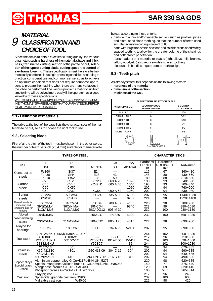# **HOMAS**

## **SAR 330 SA GDS**

#### **MATERIAL CLASSIFICATION AND CHOICE OF TOOL** 9

Since the aim is to obtain excellent cutting quality, the various parameters such as **hardness of the material, shape and thickness, transverse cutting section** of the part to be cut, **selection of the type of cutting blade, cutting speed** and **control of saw frame lowering**.These specifications must therefore be harmoniously combined in a single operating condition according to practical considerations and common sense, so as to achieve an optimum condition that does not require countless operations to prepare the machine when there are many variations in the job to be performed.The various problems that crop up from time to time will be solved more easily if the operator has a good knoledge of these specifications.

WE THEREFORE RECOMMEND YOU TO ALWAYS USE GENU-INE "THOMAS" SPARE BLADES THAT GUARANTEE SUPERIOR QUALITY AND PERFORMANCE.

#### **9.1 - Definition of materials**

The table at the foot of the page lists the characteristics of the materials to be cut, so as to choose the right tool to use.

#### **9.2 - Selecting blade**

First of all the pitch of the teeth must be chosen, in the other words, the number of teeth per inch (25,4 mm) suitable for thematerial to be cut, according to these criteria:

- parts with a thin and/or variable section such as profiles, pipes and plate, need close toothing, so that the number of teeth used simultaneously in cutting is from 3 to 6;
- parts with large transverse sections and solid sections need widely spaced toothing to allow for the greater volume of the shavings and better tooth penetration;
- parts made of soft material or plastic (light alloys, mild bronze, teflon, wood, etc.) also require widely spaced toothing;
- pieces cut in bundles require combo tooth design.

#### **9.3 - Teeth pitch**

As already stated, this depends on the following factors:

**- hardness of the material**

**- dimensions of the section**

**- thickness of the wall.**

| <b>BLADE TEETH SELECTION TABLE</b>                                                                         |    |       |  |  |
|------------------------------------------------------------------------------------------------------------|----|-------|--|--|
| <b>Z CONTINUOUS</b><br><b>Z COMBO</b><br><b>THICKNESS MM</b><br><b>TOOTH DESIGN</b><br><b>TOOTH DESIGN</b> |    |       |  |  |
| <b>TILL 1.5</b>                                                                                            | 14 | 10/14 |  |  |
| FROM 1 TO 2                                                                                                | 8  | 8/12  |  |  |
| FROM 2 TO 3                                                                                                | 6  | 6/10  |  |  |
| FROM 3 TO 5                                                                                                | 6  | 5/8   |  |  |
| FROM 4 TO 6                                                                                                | 6  | 4/6   |  |  |
| <b>MORE THAN 6</b>                                                                                         | 4  | 4/6   |  |  |
| $\ddot{a}$<br>$S = THICKNESS$                                                                              |    |       |  |  |

| <b>TYPES OF STEEL</b>                                                                                                                                                                                                                  |                                                                   |                                                   |                                                     | <b>CHARACTERISTICS</b>                     |                                            |                                                                      |                                                  |                                                    |
|----------------------------------------------------------------------------------------------------------------------------------------------------------------------------------------------------------------------------------------|-------------------------------------------------------------------|---------------------------------------------------|-----------------------------------------------------|--------------------------------------------|--------------------------------------------|----------------------------------------------------------------------|--------------------------------------------------|----------------------------------------------------|
| <b>USE</b>                                                                                                                                                                                                                             | <b>UNI</b>                                                        | D<br><b>DIN</b>                                   | F<br>AF NOR                                         | GB<br><b>SB</b>                            | <b>USA</b><br>AISI-SAE                     | <b>Hardness</b><br><b>BRINELL</b><br>HB                              | <b>Hardness</b><br><b>ROCKWELL</b><br><b>HRB</b> | $R=N/mm2$                                          |
| Construction<br>steels                                                                                                                                                                                                                 | Fe360<br>Fe430<br>Fe510                                           | St37<br>St44<br>St52                              | E24<br>E28<br>E36                                   | ----<br>43<br>50                           | ----<br>----<br>----                       | 116<br>148<br>180                                                    | 67<br>80<br>88                                   | $360 \div 480$<br>$430 \div 560$<br>$510 \div 660$ |
| Carbon<br>steels                                                                                                                                                                                                                       | C <sub>20</sub><br>C40<br>C <sub>50</sub><br>C60                  | CK20<br><b>CK40</b><br><b>CK50</b><br><b>CK60</b> | <b>XC20</b><br><b>XC42H1</b><br>----<br><b>XC55</b> | 060 A 20<br>060 A 40<br>----<br>060 A 62   | 1020<br>1040<br>1050<br>1060               | 198<br>198<br>202<br>202                                             | $\overline{93}$<br>93<br>94<br>94                | 540÷690<br>700÷840<br>760÷900<br>830÷980           |
| Spring<br>steels                                                                                                                                                                                                                       | 50CrV4<br>60SiCr8                                                 | 50CrV4<br>60SiCr7                                 | 50CV4<br>----                                       | 735 A 50<br>----                           | 6150<br>9262                               | 207<br>224                                                           | 95<br>98                                         | 1140÷1330<br>1220÷1400                             |
| Alloyed steels for<br>hardening and<br>tempering and for<br>nitriding                                                                                                                                                                  | 35CrMo4<br>39NiCrMo4<br>41CrAIMo7                                 | 34CrMo4<br>36CrNiMo4<br>41CrAIMo7                 | 35CD4<br>39NCD4<br>40CADG12                         | 708 A 37<br>905 M 39                       | 4135<br>9840<br>----                       | 220<br>228<br>232                                                    | 98<br>99<br>100                                  | 780÷930<br>880÷1080<br>$930 \div 1130$             |
| Alloyed<br>casehardening                                                                                                                                                                                                               | 18NiCrMo7                                                         | ----                                              | 20NCD7                                              | En 325                                     | 4320                                       | 232                                                                  | 100                                              | 760÷1030                                           |
| steels                                                                                                                                                                                                                                 | 20NiCrMo2                                                         | 21NiCrMo2                                         | 20NCD <sub>2</sub>                                  | 805 H 20                                   | 4315                                       | 224                                                                  | 98                                               | 690÷980                                            |
| Alloyed for<br>bearings                                                                                                                                                                                                                | 100Cr6                                                            | 100Cr6                                            | 100C6                                               | 534 A 99                                   | 52100                                      | 207                                                                  | 95                                               | 690÷980                                            |
| <b>Tool steel</b>                                                                                                                                                                                                                      | 52NiCrMoKU<br>C100KU<br>X210Cr13KU<br>58SiMo8KU                   | 56NiCrMoV7C100K<br>C100W1<br>X210Cr12<br>----     | ----<br>----<br>Z200C12<br><b>Y60SC7</b>            | ----<br>BS <sub>1</sub><br>BD2-BD3<br>---- | ----<br>$S-1$<br>$D6-D3$<br>S <sub>5</sub> | 244<br>212<br>252<br>244                                             | 102<br>96<br>103<br>102                          | 800÷1030<br>710÷980<br>820÷1060<br>800÷1030        |
| <b>Stainless</b><br>steels                                                                                                                                                                                                             | X12Cr13<br><b>X5CrNi1810</b><br><b>X8CrNi1910</b><br>X8CrNiMo1713 | 4001<br>4301<br>----<br>4401                      | Z5CN18.09<br>----<br>Z6CDN17.12                     | ----<br>304 C 12<br>316 S 16               | 410<br>304<br>----<br>316                  | 202<br>202<br>202<br>202                                             | 94<br>94<br>94<br>94                             | 670÷885<br>$590 \div 685$<br>540÷685<br>490÷685    |
| Aluminium copper alloy G-CuAl11Fe4Ni4 UNI 5275<br>Copper alloys<br>Special manganese/silicon brass G-CuZn36Si1Pb1 UNI5038<br>Special brass<br>Manganese bronze SAE43 - SAE430<br><b>Bronze</b><br>Phosphor bronze G-CuSn12 UNI 7013/2a |                                                                   |                                                   |                                                     | 220<br>140<br>120<br>100                   | 98<br>77<br>69<br>56,5                     | $620 \div 685$<br>$375 \div 440$<br>$320 \div 410$<br>$265 \div 314$ |                                                  |                                                    |
| G <sub>25</sub><br>Gray pig iron<br>Spheroidal graphite cast iron GS600<br>Cast iron<br>Malleable cast iron<br>W40-05                                                                                                                  |                                                                   |                                                   |                                                     | $\overline{212}$<br>232<br>222             | 96<br>100<br>98                            | 245<br>600<br>420                                                    |                                                  |                                                    |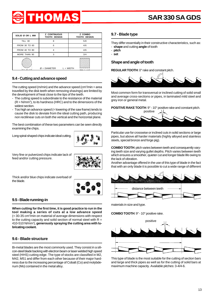

| SOLID Ø OR L MM      | <b>Z CONTINUOUS</b><br><b>TOOTH DESIGN</b> | Z COMBO<br><b>TOOTH DESIGN</b> |
|----------------------|--------------------------------------------|--------------------------------|
| TILL 30              | 8                                          | 5/8                            |
| FROM 30 TO 60        | 6                                          | 4/6                            |
| <b>FROM 40 TO 80</b> |                                            | 4/6                            |
| MORE THAN 90         | 3                                          | 3/4                            |
|                      | $\emptyset$ = DIAMETER $L = WIDTH$         |                                |

#### **9.4 - Cutting and advance speed**

The cutting speed (m/min) and the advance speed (cm $2/m$ in = area travelled by the disk teeth when removing shavings) are limited by the development of heat close to the tips of the teeth.

- The cutting speed is subordinate to the resistance of the material  $(R = N/mm<sup>2</sup>)$ , to its hardness (HRC) and to the dimensions of the widest section.
- Too high an advance speed (= lowering of the saw frame) tends to cause the disk to deviate from the ideal cutting path, producing non rectilinear cuts on both the vertical and the horizontal plane.

The best combination of these two parameters can be seen directly examining the chips.

Long spiral-shaped chips indicate ideal cutting.



Very fine or pulverized chips indicate lack of feed and/or cutting pressure.



Thick and/or blue chips indicate overload of the blade.

#### **9.5 - Blade running-in**

**When cutting for the first time, it is good practice to run in the tool making a series of cuts at a low advance speed** (= 30-35 cm2 /min on material of average dimensions with respect to the cutting capacity and solid section of normal steel with  $R =$ 410-510 N/mm2 ), **generously spraying the cutting area with lubricating coolant.**

#### **9.6 - Blade structure**

Bi-metal blades are the most commonly used. They consist in a silicon-steel blade backing with electron beam or laser welded high speed steel (HHS) cutting edge. The type of stocks are classified in M2, M42, M51 and differ from each other because of their major hardness due to the increasing percentage of Cobalt (Co) and molybdenum (Mo) contained in the metal alloy.

#### **9.7 - Blade type**

They differ essentially in their constructive characteristics, such as:

- **shape** and cutting **angle** of tooth
- **pitch**
- **set**

#### **Shape and angle of tooth**

**REGULAR TOOTH**: 0° rake and constant pitch.



Most common form for transversal or inclined cutting of solid small and average cross-sections or pipes, in laminated mild steel and grey iron or general metal.

**POSITIVE RAKE TOOTH**: 9° - 10° positive rake and constant pitch.



Particular use for crosswise or inclined cuts in solid sections or large pipes, but above all harder materials (highly alloyed and stainless steels, special bronze and forge pig).

**COMBO TOOTH**: pitch varies between teeth and consequently varying teeth size and varying gullet depths. Pitch varies between teeth which ensures a smoother, quieter cut and longer blade life owing to the lack of vibration.

Another advantage offered in the use of this type of blade in the fact that with an only blade it is possible to cut a wide range of different



materials in size and type.

**COMBO TOOTH**: 9° - 10° positive rake.



This type of blade is the most suitable for the cutting of section bars and large and thick pipes as well as for the cutting of solid bars at maximum machine capacity. Available pitches: 3-4/4-6.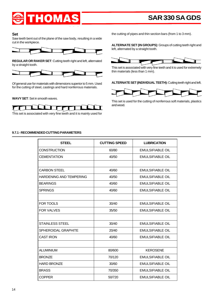

#### **Set**

Saw teeth bent out of the plane of the saw body, resulting in a wide cut in the workpiece.



**REGULAR OR RAKER SET**: Cutting teeth right and left, alternated by a straight tooth.



Of general use for materials with dimensions superior to 5 mm. Used for the cutting of steel, castings and hard nonferrous materials.

**WAVY SET**: Set in smooth waves.



This set is associated with very fine teeth and it is mainly used for

the cutting of pipes and thin section bars (from 1 to 3 mm).

**ALTERNATE SET (IN GROUPS)**: Groups of cutting teeth right and left, alternated by a straight tooth.



This set is associated with very fine teeth and it is used for extremely thin materials (less than 1 mm).

#### **ALTERNATE SET (INDIVIDUAL TEETH):** Cutting teeth right and left.



This set is used for the cutting of nonferrous soft materials, plastics and wood.

#### **9.7.1 - RECOMMENDED CUTTING PARAMETERS**

| <b>STEEL</b>               | <b>CUTTING SPEED</b> | <b>LUBRICATION</b>      |
|----------------------------|----------------------|-------------------------|
| <b>CONSTRUCTION</b>        | 60/80                | <b>EMULSIFIABLE OIL</b> |
| <b>CEMENTATION</b>         | 40/50                | <b>EMULSIFIABLE OIL</b> |
|                            |                      |                         |
| <b>CARBON STEEL</b>        | 40/60                | <b>EMULSIFIABLE OIL</b> |
| HARDENING AND TEMPERING    | 40/50                | <b>EMULSIFIABLE OIL</b> |
| <b>BEARINGS</b>            | 40/60                | <b>EMULSIFIABLE OIL</b> |
| <b>SPRINGS</b>             | 40/60                | <b>EMULSIFIABLE OIL</b> |
|                            |                      |                         |
| <b>FOR TOOLS</b>           | 30/40                | <b>EMULSIFIABLE OIL</b> |
| <b>FOR VALVES</b>          | 35/50                | <b>EMULSIFIABLE OIL</b> |
|                            |                      |                         |
| <b>STAINLESS STEEL</b>     | 30/40                | <b>EMULSIFIABLE OIL</b> |
| <b>SPHEROIDAL GRAPHITE</b> | 20/40                | <b>EMULSIFIABLE OIL</b> |
| <b>CAST IRON</b>           | 40/60                | <b>EMULSIFIABLE OIL</b> |
|                            |                      |                         |
| <b>ALUMINIUM</b>           | 80/600               | <b>KEROSENE</b>         |
| <b>BRONZE</b>              | 70/120               | <b>EMULSIFIABLE OIL</b> |
| <b>HARD BRONZE</b>         | 30/60                | <b>EMULSIFIABLE OIL</b> |
| <b>BRASS</b>               | 70/350               | <b>EMULSIFIABLE OIL</b> |
| <b>COPPER</b>              | 50/720               | <b>EMULSIFIABLE OIL</b> |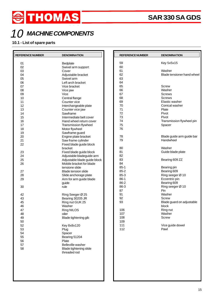

## **MACHINE COMPONENTS**

**10.1 - List of spare parts**

| <b>REFERENCE NUMBER</b> | <b>DENOMINATION</b>          | <b>REFERENCE NUMBER</b> | <b>DENOMINATION</b>        |
|-------------------------|------------------------------|-------------------------|----------------------------|
| 01                      | <b>Bedplate</b>              | 59                      | Key 5x5x15                 |
| 02                      | Swivel arm support           | 60                      |                            |
| 03                      | Cover                        | 61                      | Washer                     |
| 04                      |                              | 62                      | Blade tensioner hand wheel |
|                         | Adjustable bracket           |                         |                            |
| 05                      | Swivel arm                   | 63                      |                            |
| 06                      | Left arch bracket            | 64                      |                            |
| 07                      | Vice bracket                 | 65                      | Screw                      |
| 08                      | Vice jaw                     | 66                      | Washer                     |
| 09                      | Vice                         | 67                      | <b>Screws</b>              |
| 10                      | Central flange               | 68                      | <b>Screws</b>              |
| 11                      | Counter vice                 | 69                      | Elastic washer             |
| 12                      | Interchangeable plate        | 70                      | Conical washer             |
| 13                      | Counter vice jaw             | 71                      | Plate                      |
| 14                      | Sawframe                     | 72                      | Pivot                      |
| 15                      | Intermediate belt cover      | 73                      | Pivot                      |
| 16                      | Hand wheel return cover      | 74                      | Transmission flywheel pin  |
| 17                      |                              | 75                      | Spacer                     |
|                         | Transmission flywheel        | 76                      |                            |
| 18                      | Motor flywheel               |                         |                            |
| 19                      | Sawframe guard               |                         |                            |
| 20                      | Engine plate bracket         | 78                      | Blade guide arm guide bar  |
| 21                      | Saw frame cylinder           | 79                      | Handwheel                  |
| 22                      | Fixed blade guide block      |                         |                            |
|                         | bracket                      | 80                      | Washer                     |
| 23                      | Fixed blade guide block      | 81                      | Guide blade plate          |
| 24                      | Adjustable bladeguide arm    | 82                      |                            |
| 25                      | Adjustable blade guide block | 83                      | Bearing 609 ZZ             |
| 26                      | Mobile bracket for blade     | 84                      |                            |
|                         | tensione slide               | $85-1$                  | Bearing pin                |
| 27                      | <b>Blade tension slide</b>   | $85 - 2$                | Bearing 609                |
| 28                      | Slide anchorage plate        | 85-3                    | Ring seeger Ø 10           |
| 29                      | Arm for arm guide blade      | $86-1$                  | Eccentric pin              |
|                         |                              | 86-2                    | Bearing 609                |
|                         | guide                        | 86-3                    |                            |
| 30                      | rule                         |                         | Ring seeger Ø 10           |
|                         |                              | 87                      | Pin                        |
| 42                      | Ring Seeger Ø 25             | 91                      | Washer                     |
| 43                      | Bearing 30205 JR             | 92                      | Screw                      |
| 45                      | Ring nut GUK 25              | 93                      | Blade guard on adjustable  |
| 46                      | Washer                       |                         | block                      |
| 47                      | <b>Ring NILOS</b>            | 106                     | Ring nut                   |
| 48                      | oiler                        | 107                     | Washer                     |
| 49                      | Blade tightening gib         | 108                     | <b>Screw</b>               |
| 50                      |                              | 109                     |                            |
| 52                      | Key 8x8x120                  | 111                     | Vice guide dowel           |
| 53                      | Plug                         | 112                     | Pawl                       |
| 54                      | Spacer                       |                         |                            |
| 55                      |                              |                         |                            |
|                         | Bearing 51204                |                         |                            |
| 56                      | Plate                        |                         |                            |
| 57                      | Belleville washer            |                         |                            |
| 58                      | Blade tightening slide       |                         |                            |
|                         | threaded rod                 |                         |                            |
|                         |                              |                         |                            |
|                         |                              |                         |                            |
|                         |                              |                         |                            |
|                         |                              |                         |                            |
|                         |                              |                         |                            |
|                         |                              |                         |                            |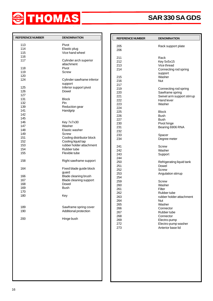

| <b>REFERENCE NUMBER</b> | <b>DENOMINATION</b>         |  |
|-------------------------|-----------------------------|--|
| 113                     | Pivot                       |  |
| 114                     | Elastic plug                |  |
| 115                     | Vice hand wheel             |  |
| 116                     |                             |  |
| 117                     | Cylinder arch superior      |  |
|                         | attachment                  |  |
| 118                     | Pivot                       |  |
| 119                     | <b>Screw</b>                |  |
| 120                     |                             |  |
| 124                     | Cylinder sawframe inferior  |  |
|                         | support                     |  |
| 125                     | Inferior support pivot      |  |
| 126                     | Dowel                       |  |
| 127                     |                             |  |
| 131                     | <b>Block</b>                |  |
| 132                     | Pin                         |  |
| 139                     | Reduction gear              |  |
| 141                     | Handgrip                    |  |
| 142                     |                             |  |
| 145                     |                             |  |
| 146                     |                             |  |
|                         | <b>Key 7x7x30</b><br>Washer |  |
| 147                     |                             |  |
| 148                     | Elastic washer              |  |
| 149                     | Screw                       |  |
| 151                     | Cooling distributor block   |  |
| 152                     | Cooling liquid tap          |  |
| 153                     | rubber holder attachment    |  |
| 154                     | Rubber tube                 |  |
| 155                     | Flexible tube               |  |
| 158                     | Right sawframe support      |  |
| 164                     | Fixed blade guide block     |  |
|                         | guard                       |  |
| 166                     | Blade cleaning brush        |  |
| 167                     | Blade cleaning support      |  |
| 168                     | Dowel                       |  |
| 169                     | <b>Bush</b>                 |  |
| 170                     |                             |  |
| 180                     | Key                         |  |
|                         |                             |  |
| 189                     | Sawframe spring cover       |  |
| 190                     | Additional protection       |  |
|                         |                             |  |
| 200                     | Hinge bush                  |  |
|                         |                             |  |
|                         |                             |  |
|                         |                             |  |
|                         |                             |  |
|                         |                             |  |

| <b>REFERENCE NUMBER</b>  | <b>DENOMINATION</b>                                             |
|--------------------------|-----------------------------------------------------------------|
| 205<br>206               | Rack support plate                                              |
| 211<br>212<br>213        | Rack<br>Key 5x5x15<br>Vice thread                               |
| 214<br>215<br>216        | Connecting rod spring<br>support<br>Washer<br><b>Nut</b>        |
| 217<br>219<br>220        | Connecting rod spring<br>Sawframe spring                        |
| 221<br>222<br>223<br>224 | Swivel arm support stirrup<br>Hand lever<br>Washer              |
| 225<br>226<br>227        | <b>Block</b><br><b>Bush</b><br><b>Bush</b>                      |
| 230<br>231<br>232        | Pivot hinge<br>Bearing 6906 RNA                                 |
| 233<br>234<br>241        | Spacer<br>Degree meter<br>Screw                                 |
| 242<br>243<br>244        | Washer<br>Support                                               |
| 250<br>251<br>252        | Refrigerating liquid tank<br>Dowel<br>Screw                     |
| 253<br>254<br>259<br>260 | Angulation stirrup<br>Screw<br>Washer                           |
| 261<br>262<br>263        | Filter<br>Rubber tube<br>rubber holder attachment               |
| 264<br>265<br>266        | Nut<br>Washer<br>Connector                                      |
| 267<br>268<br>269<br>272 | Rubber tube<br>Connector<br>Electro-pump<br>Electro-pump washer |
| 273                      | Anterior base lid                                               |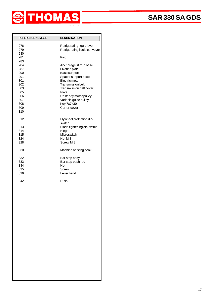

| <b>REFERENCE NUMBER</b> | <b>DENOMINATION</b>            |
|-------------------------|--------------------------------|
| 276                     | Refrigerating liquid level     |
| 279                     | Refrigerating liquid conveyer  |
| 280                     |                                |
| 281                     | Pivot                          |
| 283                     |                                |
| 284                     | Anchorage stirrup base         |
| 287                     | <b>Fixation plate</b>          |
| 290                     | Base support                   |
| 291                     | Spacer support base            |
| 301                     | Electric motor                 |
| 302                     | Transmission belt              |
| 303                     | <b>Transmission belt cover</b> |
| 305                     | Plate                          |
| 306                     | Unsteady motor pulley          |
| 307                     | Variable guide pulley          |
| 308                     | <b>Key 7x7x30</b>              |
| 309                     | Carter cover                   |
| 310                     |                                |
| 312                     | Flywheel protection dip-       |
|                         | switch                         |
| 313                     | Blade tightening dip-switch    |
| 314                     | Hinge                          |
| 315                     | Microswitch                    |
| 324                     | Nut M 8                        |
| 328                     | Screw M 8                      |
| 330                     | Machine hoisting hook          |
| 332                     | Bar stop body                  |
| 333                     | Bar stop push rod              |
| 334                     | Nut                            |
| 335                     | Screw                          |
| 336                     | Lever hand                     |
| 342                     | Bush                           |
|                         |                                |
|                         |                                |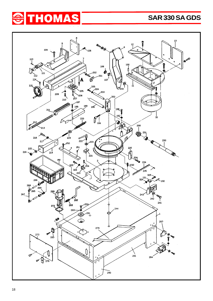

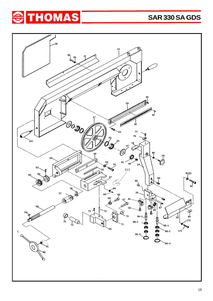

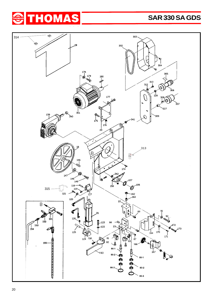

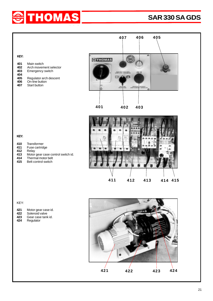

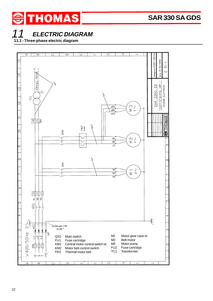

11 **ELECTRIC DIAGRAM**

#### **11.1 - Three-phase electric diagram**

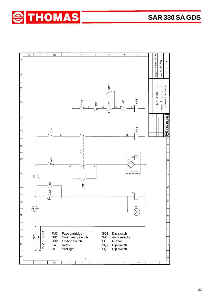

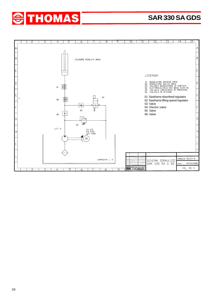



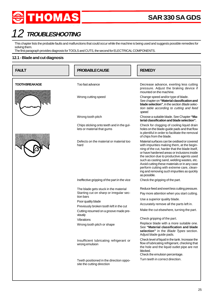

## 12 TROUBLESHOOTING

This chapter lists the probable faults and malfunctions that could occur while the machine is being used and suggests possible remedies for solving them.

The first paragraph provides diagnosis for TOOLS and CUTS, the second for ELECTRICAL COMPONENTS.

#### **12.1 - Blade and cut diagnosis**

| <b>FAULT</b>          | <b>PROBABLE CAUSE</b>                                                                                              | <b>REMEDY</b>                                                                                                                                                                                                                                                                                                                                                                                                                                      |
|-----------------------|--------------------------------------------------------------------------------------------------------------------|----------------------------------------------------------------------------------------------------------------------------------------------------------------------------------------------------------------------------------------------------------------------------------------------------------------------------------------------------------------------------------------------------------------------------------------------------|
| <b>TOOTH BREAKAGE</b> | Too fast advance                                                                                                   | Decrease advance, exerting less cutting<br>pressure. Adjust the braking device if<br>mounted on the machine.                                                                                                                                                                                                                                                                                                                                       |
|                       | Wrong cutting speed                                                                                                | Change speed and/or type of blade.<br>See chapter on "Material classification and<br>blade selection", in the section Blade selec-<br>tion table according to cutting and feed<br>speed.                                                                                                                                                                                                                                                           |
|                       | Wrong tooth pitch                                                                                                  | Choose a suitable blade. See Chapter "Ma-<br>terial classification and blade selection".                                                                                                                                                                                                                                                                                                                                                           |
|                       | Chips sticking onto teeth and in the gul-<br>lets or material that gums                                            | Check for clogging of cooling liquid drain<br>holes on the blade-guide pads and that flow<br>is plentiful in order to facilitate the removal<br>of chips from the blade.                                                                                                                                                                                                                                                                           |
|                       | Defects on the material or material too<br>hard                                                                    | Material surfaces can be oxidised or covered<br>with impurities making them, at the begin-<br>ning of the cut, harder that the blade itself,<br>or have hardened areas or inclusions inside<br>the section due to productive agents used<br>such as casting sand, welding wastes, etc.<br>Avoid cutting these materials or in any case<br>perform cutting with extreme care, clean-<br>ing and removing such impurities as quickly<br>as possible. |
|                       | Ineffective gripping of the part in the vice                                                                       | Check the gripping of the part.                                                                                                                                                                                                                                                                                                                                                                                                                    |
|                       | The blade gets stuck in the material<br>Starting cut on sharp or irregular sec-<br>tion bars<br>Poor quality blade | Reduce feed and exert less cutting pressure.<br>Pay more attention when you start cutting.<br>Use a superior quality blade.                                                                                                                                                                                                                                                                                                                        |
|                       | Previously broken tooth left in the cut                                                                            | Accurately remove all the parts left in.                                                                                                                                                                                                                                                                                                                                                                                                           |
|                       | Cutting resumed on a groove made pre-<br>viously                                                                   | Make the cut elsewhere, turning the part.                                                                                                                                                                                                                                                                                                                                                                                                          |
|                       | Vibrations                                                                                                         | Check gripping of the part.                                                                                                                                                                                                                                                                                                                                                                                                                        |
|                       | Wrong tooth pitch or shape                                                                                         | Replace blade with a more suitable one.<br>See "Material classification and blade<br>selection" in the Blade Types section.<br>Adjust blade guide pads.                                                                                                                                                                                                                                                                                            |
|                       | Insufficient lubricating refrigerant or<br>wrong emulsion                                                          | Check level of liquid in the tank. Increase the<br>flow of lubricating refrigerant, checking that<br>the hole and the liquid outlet pipe are not<br>blocked.<br>Check the emulsion percentage.                                                                                                                                                                                                                                                     |
|                       | Teeth positioned in the direction oppo-<br>site the cutting direction                                              | Turn teeth in correct direction.                                                                                                                                                                                                                                                                                                                                                                                                                   |
|                       |                                                                                                                    |                                                                                                                                                                                                                                                                                                                                                                                                                                                    |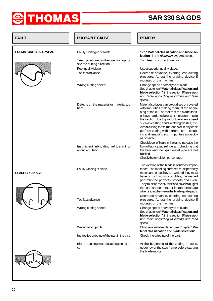

| <b>FAULT</b>          | <b>PROBABLE CAUSE</b>                                                | <b>REMEDY</b>                                                                                                                                                                                                                                                                                                                                                                                                                                      |
|-----------------------|----------------------------------------------------------------------|----------------------------------------------------------------------------------------------------------------------------------------------------------------------------------------------------------------------------------------------------------------------------------------------------------------------------------------------------------------------------------------------------------------------------------------------------|
| PREMATURE BLADE WEAR  | Faulty running-in of blade                                           | See "Material classification and blade se-<br>lection" in the Blade running-in section.                                                                                                                                                                                                                                                                                                                                                            |
|                       | Teeth positioned in the direction oppo-                              | Turn teeth in correct direction.                                                                                                                                                                                                                                                                                                                                                                                                                   |
|                       | site the cutting direction<br>Poor quality blade<br>Too fast advance | Use a superior quality blade.<br>Decrease advance, exerting less cutting<br>pressure. Adjust the braking device if<br>mounted on the machine.                                                                                                                                                                                                                                                                                                      |
|                       | Wrong cutting speed                                                  | Change speed and/or type of blade.<br>See chapter on "Material classification and<br>blade selection", in the section Blade selec-<br>tion table according to cutting and feed<br>speed.                                                                                                                                                                                                                                                           |
|                       | Defects on the material or material too<br>hard                      | Material surfaces can be oxidised or covered<br>with impurities making them, at the begin-<br>ning of the cut, harder that the blade itself,<br>or have hardened areas or inclusions inside<br>the section due to productive agents used<br>such as casting sand, welding wastes, etc.<br>Avoid cutting these materials or in any case<br>perform cutting with extreme care, clean-<br>ing and removing such impurities as quickly<br>as possible. |
|                       | Insufficient lubricating refrigerant or<br>wrong emulsion            | Check level of liquid in the tank. Increase the<br>flow of lubricating refrigerant, checking that<br>the hole and the liquid outlet pipe are not<br>blocked.<br>Check the emulsion percentage.                                                                                                                                                                                                                                                     |
| <b>BLADE BREAKAGE</b> | Faulty welding of blade                                              | The welding of the blade is of utmost impor-<br>tance. The meeting surfaces must perfectly<br>match and once they are welded they must<br>have no inclusions or bubbles; the welded<br>part must be perfectly smooth and even.<br>They must be evenly thick and have no bulges<br>that can cause dents or instant breakage<br>when sliding between the blade guide pads.<br>Decrease advance, exerting less cutting                                |
|                       | Too fast advance                                                     | pressure. Adjust the braking device if<br>mounted on the machine.                                                                                                                                                                                                                                                                                                                                                                                  |
|                       | Wrong cutting speed                                                  | Change speed and/or type of blade.<br>See chapter on "Material classification and<br>blade selection", in the section Blade selec-<br>tion table according to cutting and feed<br>speed.                                                                                                                                                                                                                                                           |
|                       | Wrong tooth pitch                                                    | Choose a suitable blade. See Chapter "Ma-<br>terial classification and blade selection".                                                                                                                                                                                                                                                                                                                                                           |
|                       | Ineffective gripping of the part in the vice                         | Check the gripping of the part.                                                                                                                                                                                                                                                                                                                                                                                                                    |
|                       | Blade touching material at beginning of<br>cut                       | At the beginning of the cutting process,<br>never lower the saw frame before starting<br>the blade motor.                                                                                                                                                                                                                                                                                                                                          |
|                       |                                                                      |                                                                                                                                                                                                                                                                                                                                                                                                                                                    |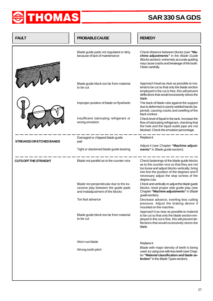

| <b>FAULT</b>                 | <b>PROBABLE CAUSE</b>                                                                                            | <b>REMEDY</b>                                                                                                                                                                                                                                         |
|------------------------------|------------------------------------------------------------------------------------------------------------------|-------------------------------------------------------------------------------------------------------------------------------------------------------------------------------------------------------------------------------------------------------|
|                              | Blade guide pads not regulated or dirty<br>because of lack of maintenance                                        | Check distance between blocks (see "Ma-<br>chine adjustments" in the Blade Guide<br>Blocks section): extremely accurate guiding<br>may cause cracks and breakage of the tooth.<br>Clean carefully.                                                    |
|                              | Blade guide block too far from material<br>to be cut                                                             | Approach head as near as possible to ma-<br>terial to be cut so that only the blade section<br>employed in the cut is free, this will prevent<br>deflections that would excessively stress the<br>blade.                                              |
|                              | Improper position of blade on flywheels                                                                          | The back of blade rubs against the support<br>due to deformed or poorly welded bands (ta-<br>pered), causing cracks and swelling of the<br>back contour.                                                                                              |
|                              | Insufficient lubricating refrigerant or<br>wrong emulsion                                                        | Check level of liquid in the tank. Increase the<br>flow of lubricating refrigerant, checking that<br>the hole and the liquid outlet pipe are not<br>blocked. Check the emulsion percentage.                                                           |
| STREAKED OR ETCHED BANDS     | Damaged or chipped blade guide<br>pad                                                                            | Replace it.                                                                                                                                                                                                                                           |
|                              | Tight or slackened blade guide bearing                                                                           | Adjust it (see Chapter "Machine adjust-<br>ments" in Blade guide section).                                                                                                                                                                            |
| <b>CUTS OFF THE STRAIGHT</b> | Blade not parallel as to the counter-vice                                                                        | Check fastenings of the blade guide blocks<br>as to the counter-vice so that they are not<br>too loose and adjust blocks vertically; bring<br>into line the position of the degrees and if<br>necessary adjust the stop screws of the<br>degree cuts. |
|                              | Blade not perpendicular due to the ex-<br>cessive play between the guide pads<br>and maladjustment of the blocks | Check and vertically re-adjust the blade guide<br>blocks; reset proper side guide play (see<br>Chapter "Machine adjustments" in Blade<br>guide section).                                                                                              |
|                              | Too fast advance                                                                                                 | Decrease advance, exerting less cutting<br>pressure. Adjust the braking device if<br>mounted on the machine.                                                                                                                                          |
|                              | Blade guide block too far from material<br>to be cut                                                             | Approach it as near as possible to material<br>to be cut so that only the blade section em-<br>ployed in the cut is free, this will prevent de-<br>flections that would excessively stress the<br>blade.                                              |
|                              | Worn out blade                                                                                                   | Replace it.                                                                                                                                                                                                                                           |
|                              | Wrong tooth pitch                                                                                                | Blade with major density of teeth is being<br>used, try using one with less teeth (see Chap-<br>ter "Material classification and blade se-<br><b>lection</b> " in the <i>Blade Types</i> section).                                                    |
|                              |                                                                                                                  |                                                                                                                                                                                                                                                       |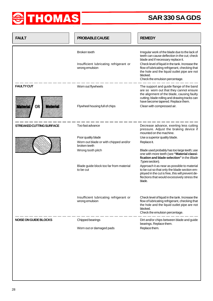

| <b>FAULT</b>                      | <b>PROBABLE CAUSE</b>                                                       | <b>REMEDY</b>                                                                                                                                                                                                            |
|-----------------------------------|-----------------------------------------------------------------------------|--------------------------------------------------------------------------------------------------------------------------------------------------------------------------------------------------------------------------|
|                                   | <b>Broken</b> teeth<br>Insufficient lubricating refrigerant or              | Irregular work of the blade due to the lack of<br>teeth can cause deflection in the cut; check<br>blade and if necessary replace it.<br>Check level of liquid in the tank. Increase the                                  |
|                                   | wrong emulsion                                                              | flow of lubricating refrigerant, checking that<br>the hole and the liquid outlet pipe are not<br>blocked.<br>Check the emulsion percentage.                                                                              |
| <b>FAULTY CUT</b>                 | Worn out flywheels                                                          | The support and guide flange of the band<br>are so worn out that they cannot ensure<br>the alignment of the blade, causing faulty<br>cutting; blade rolling and drawing tracks can<br>have become tapered. Replace them. |
| <b>OR</b><br>Material<br>L'Abrial | Flywheel housing full of chips                                              | Clean with compressed air.                                                                                                                                                                                               |
| STREAKED CUTTING SURFACE          | Too fast advance                                                            | Decrease advance, exerting less cutting<br>pressure. Adjust the braking device if<br>mounted on the machine.                                                                                                             |
|                                   | Poor quality blade<br>Worn out blade or with chipped and/or<br>broken teeth | Use a superior quality blade.<br>Replace it.                                                                                                                                                                             |
|                                   | Wrong tooth pitch                                                           | Blade used probably has too large teeth; use<br>one with more teeth (see "Material classi-<br>fication and blade selection" in the Blade<br>Types section).                                                              |
|                                   | Blade guide block too far from material<br>to be cut                        | Approach it as near as possible to material<br>to be cut so that only the blade section em-<br>ployed in the cut is free, this will prevent de-<br>flections that would excessively stress the<br>blade.                 |
|                                   | Insufficient lubricating refrigerant or<br>wrong emulsion                   | Check level of liquid in the tank. Increase the<br>flow of lubricating refrigerant, checking that<br>the hole and the liquid outlet pipe are not<br>blocked.<br>Check the emulsion percentage.                           |
| NOISE ON GUIDE BLOCKS             | Chipped bearings                                                            | Dirt and/or chips between blade and guide<br>bearings. Replace them.                                                                                                                                                     |
|                                   | Worn out or damaged pads                                                    | Replace them.                                                                                                                                                                                                            |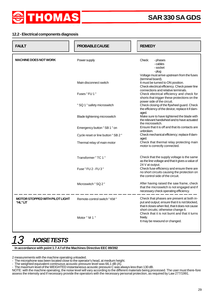

#### **12.2 - Electrical components diagnosis**

| <b>FAULT</b>                              | <b>PROBABLE CAUSE</b>             | <b>REMEDY</b>                                                                                                                                                                                                                          |
|-------------------------------------------|-----------------------------------|----------------------------------------------------------------------------------------------------------------------------------------------------------------------------------------------------------------------------------------|
| <b>MACHINE DOES NOT WORK</b>              | Power supply                      | Check:<br>- phases<br>- cables<br>- socket<br>- plug<br>Voltage must arrive upstream from the fuses                                                                                                                                    |
|                                           | Main disconnect switch            | (terminal board).<br>It must be turned to ON position.<br>Check electrical efficiency. Check power line<br>connections and relative terminals.                                                                                         |
|                                           | Fuses "FU1"                       | Check electrical efficiency and check for<br>shorts that trigger these protections on the<br>power side of the circuit.                                                                                                                |
|                                           | "SQ 1 " safety microswitch        | Check closing of the flywheel guard. Check<br>the efficiency of the device; replace it if dam-<br>aged.                                                                                                                                |
|                                           | Blade tightening microswitch      | Make sure to have tightened the blade with<br>the relevant handwheel and to have actuated<br>the microswitch.                                                                                                                          |
|                                           | Emergency button "SB 1" on        | Ensure that it is off and that its contacts are<br>unbroken.                                                                                                                                                                           |
|                                           | Cycle reset or line button "SB 2" | Check mechanical efficiency; replace if dam-<br>aged.                                                                                                                                                                                  |
|                                           | Thermal relay of main motor       | Check that thermal relay protecting main<br>motor is correctly connected.                                                                                                                                                              |
|                                           | Transformer "TC 1"                | Check that the supply voltage is the same<br>as the line voltage and that it gives a value of<br>24 V at output.                                                                                                                       |
|                                           | Fuse" FU2 - FU3"                  | Check fuse efficiency and ensure there are<br>no short circuits causing the protection on<br>the control side of the circuit.                                                                                                          |
|                                           | Microswitch "SQ 2"                | After having raised the saw frame, check<br>that the microswitch is not engaged and if<br>necessary check operating efficiency.                                                                                                        |
| MOTOR STOPPED WITH PILOT LIGHT<br>"HL"LIT | Remote-control switch " KM "      | Check that phases are present at both in-<br>put and output; ensure that it is not blocked,<br>that it closes when fed, that it does not cause<br>short circuits; otherwise change it.<br>Check that it is not burnt and that it turns |
|                                           | Motor " M 1 "                     | freely.<br>It may be rewound or changed.                                                                                                                                                                                               |

#### **NOISE TESTS** 13

**In accordance with point 1.7.4.f of the Machines Directive EEC 89/392**

2 measurements with the machine operating unloaded.

- The microphone was been located close to the operator's head, at medium height.<br>- The weighted equivalent continuous acoustic pressure level was 66.1 dB (A).

The weighted equivalent continuous acoustic pressure level was 66,1 dB (A).

- The maximum level of the WEIGHTED instantaneous acoustic pressure C was always less than 130 dB.

NOTE: with the machine operating, the noise level will vary according to the different materials being processed. The user must there-fore assess the intensity and if necessary provide the operators with the necessary personal protection, as required by Law 277/1991.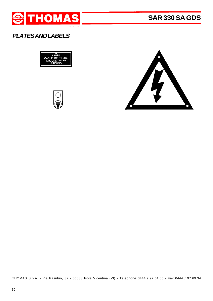

### **PLATES AND LABELS**







THOMAS S.p.A. - Via Pasubio, 32 - 36033 Isola Vicentina (VI) - Telephone 0444 / 97.61.05 - Fax 0444 / 97.69.34